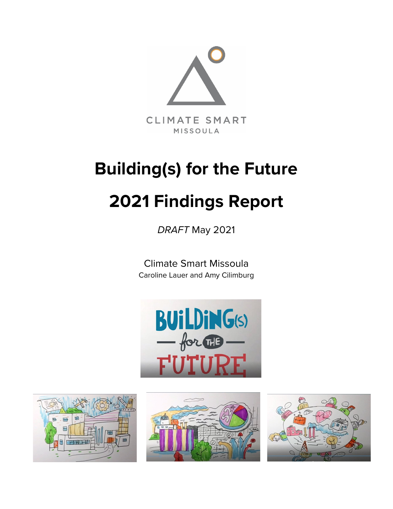

# **Building(s) for the Future 2021 Findings Report**

*DRAFT* May 2021

Climate Smart Missoula Caroline Lauer and Amy Cilimburg







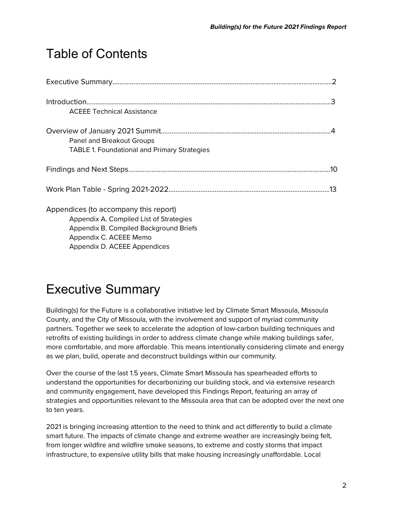## Table of Contents

| <b>ACEEE Technical Assistance</b>                                                                                                                                                    |
|--------------------------------------------------------------------------------------------------------------------------------------------------------------------------------------|
| Panel and Breakout Groups<br><b>TABLE 1. Foundational and Primary Strategies</b>                                                                                                     |
|                                                                                                                                                                                      |
| .13                                                                                                                                                                                  |
| Appendices (to accompany this report)<br>Appendix A. Compiled List of Strategies<br>Appendix B. Compiled Background Briefs<br>Appendix C. ACEEE Memo<br>Appendix D. ACEEE Appendices |

# Executive Summary

Building(s) for the Future is a collaborative initiative led by Climate Smart Missoula, Missoula County, and the City of Missoula, with the involvement and support of myriad community partners. Together we seek to accelerate the adoption of low-carbon building techniques and retrofits of existing buildings in order to address climate change while making buildings safer, more comfortable, and more affordable. This means intentionally considering climate and energy as we plan, build, operate and deconstruct buildings within our community.

Over the course of the last 1.5 years, Climate Smart Missoula has spearheaded efforts to understand the opportunities for decarbonizing our building stock, and via extensive research and community engagement, have developed this Findings Report, featuring an array of strategies and opportunities relevant to the Missoula area that can be adopted over the next one to ten years.

2021 is bringing increasing attention to the need to think and act differently to build a climate smart future. The impacts of climate change and extreme weather are increasingly being felt, from longer wildfire and wildfire smoke seasons, to extreme and costly storms that impact infrastructure, to expensive utility bills that make housing increasingly unaffordable. Local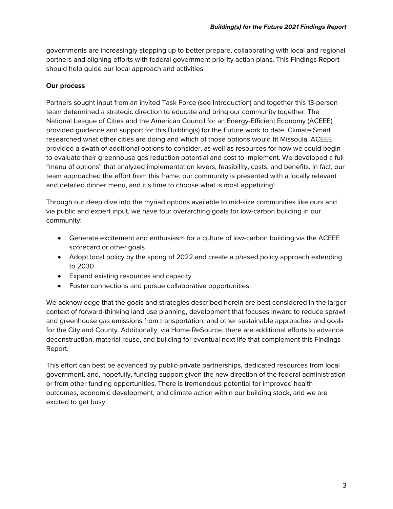governments are increasingly stepping up to better prepare, collaborating with local and regional partners and aligning efforts with federal government priority action plans. This Findings Report should help guide our local approach and activities.

### **Our process**

Partners sought input from an invited Task Force (see Introduction) and together this 13-person team determined a strategic direction to educate and bring our community together. The National League of Cities and the American Council for an Energy-Efficient Economy (ACEEE) provided guidance and support for this Building(s) for the Future work to date. Climate Smart researched what other cities are doing and which of those options would fit Missoula. ACEEE provided a swath of additional options to consider, as well as resources for how we could begin to evaluate their greenhouse gas reduction potential and cost to implement. We developed a full "menu of options" that analyzed implementation levers, feasibility, costs, and benefits. In fact, our team approached the effort from this frame: our community is presented with a locally relevant and detailed dinner menu, and it's time to choose what is most appetizing!

Through our deep dive into the myriad options available to mid-size communities like ours and via public and expert input, we have four overarching goals for low-carbon building in our community:

- Generate excitement and enthusiasm for a culture of low-carbon building via the ACEEE scorecard or other goals
- Adopt local policy by the spring of 2022 and create a phased policy approach extending to 2030
- Expand existing resources and capacity
- Foster connections and pursue collaborative opportunities.

We acknowledge that the goals and strategies described herein are best considered in the larger context of forward-thinking land use planning, development that focuses inward to reduce sprawl and greenhouse gas emissions from transportation, and other sustainable approaches and goals for the City and County. Additionally, via Home ReSource, there are additional efforts to advance deconstruction, material reuse, and building for eventual next life that complement this Findings Report.

This effort can best be advanced by public-private partnerships, dedicated resources from local government, and, hopefully, funding support given the new direction of the federal administration or from other funding opportunities. There is tremendous potential for improved health outcomes, economic development, and climate action within our building stock, and we are excited to get busy.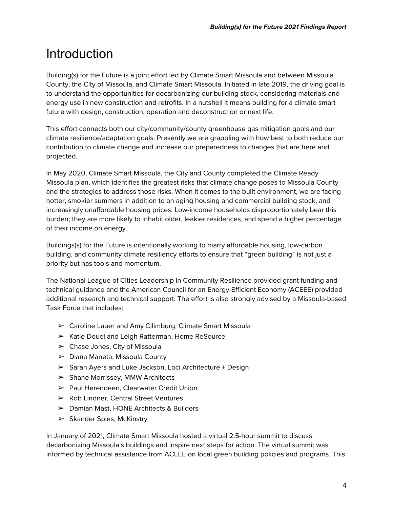# **Introduction**

Building(s) for the Future is a joint effort led by Climate Smart Missoula and between Missoula County, the City of Missoula, and Climate Smart Missoula. Initiated in late 2019, the driving goal is to understand the opportunities for decarbonizing our building stock, considering materials and energy use in new construction and retrofits. In a nutshell it means building for a climate smart future with design, construction, operation and deconstruction or next life.

This effort connects both our city/community/county greenhouse gas mitigation goals and our climate resilience/adaptation goals. Presently we are grappling with how best to both reduce our contribution to climate change and increase our preparedness to changes that are here and projected.

In May 2020, Climate Smart Missoula, the City and County completed the Climate Ready Missoula plan, which identifies the greatest risks that climate change poses to Missoula County and the strategies to address those risks. When it comes to the built environment, we are facing hotter, smokier summers in addition to an aging housing and commercial building stock, and increasingly unaffordable housing prices. Low-income households disproportionately bear this burden; they are more likely to inhabit older, leakier residences, and spend a higher percentage of their income on energy.

Buildings(s) for the Future is intentionally working to marry affordable housing, low-carbon building, and community climate resiliency efforts to ensure that "green building" is not just a priority but has tools and momentum.

The National League of Cities Leadership in Community Resilience provided grant funding and technical guidance and the American Council for an Energy-Efficient Economy (ACEEE) provided additional research and technical support. The effort is also strongly advised by a Missoula-based Task Force that includes:

- ➢ Caroline Lauer and Amy Cilimburg, Climate Smart Missoula
- ➢ Katie Deuel and Leigh Ratterman, Home ReSource
- ➢ Chase Jones, City of Missoula
- ➢ Diana Maneta, Missoula County
- ➢ Sarah Ayers and Luke Jackson, Loci Architecture + Design
- $\triangleright$  Shane Morrissey, MMW Architects
- ➢ Paul Herendeen, Clearwater Credit Union
- ➢ Rob Lindner, Central Street Ventures
- ➢ Damian Mast, HONE Architects & Builders
- $\triangleright$  Skander Spies, McKinstry

In January of 2021, Climate Smart Missoula hosted a virtual 2.5-hour summit to discuss decarbonizing Missoula's buildings and inspire next steps for action. The virtual summit was informed by technical assistance from ACEEE on local green building policies and programs. This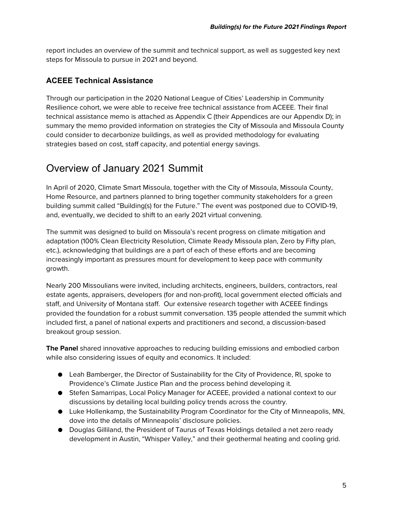report includes an overview of the summit and technical support, as well as suggested key next steps for Missoula to pursue in 2021 and beyond.

### **ACEEE Technical Assistance**

Through our participation in the 2020 National League of Cities' Leadership in Community Resilience cohort, we were able to receive free technical assistance from ACEEE. Their final technical assistance memo is attached as Appendix C (their Appendices are our Appendix D); in summary the memo provided information on strategies the City of Missoula and Missoula County could consider to decarbonize buildings, as well as provided methodology for evaluating strategies based on cost, staff capacity, and potential energy savings.

### Overview of January 2021 Summit

In April of 2020, Climate Smart Missoula, together with the City of Missoula, Missoula County, Home Resource, and partners planned to bring together community stakeholders for a green building summit called "Building(s) for the Future." The event was postponed due to COVID-19, and, eventually, we decided to shift to an early 2021 virtual convening.

The summit was designed to build on Missoula's recent progress on climate mitigation and adaptation (100% Clean Electricity Resolution, Climate Ready Missoula plan, Zero by Fifty plan, etc.), acknowledging that buildings are a part of each of these efforts and are becoming increasingly important as pressures mount for development to keep pace with community growth.

Nearly 200 Missoulians were invited, including architects, engineers, builders, contractors, real estate agents, appraisers, developers (for and non-profit), local government elected officials and staff, and University of Montana staff. Our extensive research together with ACEEE findings provided the foundation for a robust summit conversation. 135 people attended the summit which included first, a panel of national experts and practitioners and second, a discussion-based breakout group session.

**The Panel** shared innovative approaches to reducing building emissions and embodied carbon while also considering issues of equity and economics. It included:

- Leah Bamberger, the Director of Sustainability for the City of Providence, RI, spoke to Providence's Climate Justice Plan and the process behind developing it.
- Stefen Samarripas, Local Policy Manager for ACEEE, provided a national context to our discussions by detailing local building policy trends across the country.
- Luke Hollenkamp, the Sustainability Program Coordinator for the City of Minneapolis, MN, dove into the details of Minneapolis' disclosure policies.
- Douglas Gilliland, the President of Taurus of Texas Holdings detailed a net zero ready development in Austin, "Whisper Valley," and their geothermal heating and cooling grid.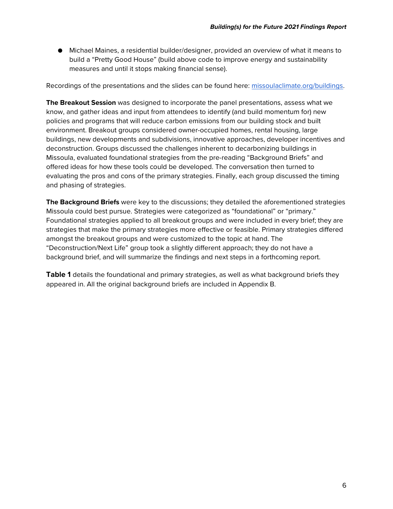● Michael Maines, a residential builder/designer, provided an overview of what it means to build a "Pretty Good House" (build above code to improve energy and sustainability measures and until it stops making financial sense).

Recordings of the presentations and the slides can be found here: [missoulaclimate.org/buildings.](https://www.missoulaclimate.org/buildings.html)

**The Breakout Session** was designed to incorporate the panel presentations, assess what we know, and gather ideas and input from attendees to identify (and build momentum for) new policies and programs that will reduce carbon emissions from our building stock and built environment. Breakout groups considered owner-occupied homes, rental housing, large buildings, new developments and subdivisions, innovative approaches, developer incentives and deconstruction. Groups discussed the challenges inherent to decarbonizing buildings in Missoula, evaluated foundational strategies from the pre-reading "Background Briefs" and offered ideas for how these tools could be developed. The conversation then turned to evaluating the pros and cons of the primary strategies. Finally, each group discussed the timing and phasing of strategies.

**The Background Briefs** were key to the discussions; they detailed the aforementioned strategies Missoula could best pursue. Strategies were categorized as "foundational" or "primary." Foundational strategies applied to all breakout groups and were included in every brief; they are strategies that make the primary strategies more effective or feasible. Primary strategies differed amongst the breakout groups and were customized to the topic at hand. The "Deconstruction/Next Life" group took a slightly different approach; they do not have a background brief, and will summarize the findings and next steps in a forthcoming report.

**Table 1** details the foundational and primary strategies, as well as what background briefs they appeared in. All the original background briefs are included in Appendix B.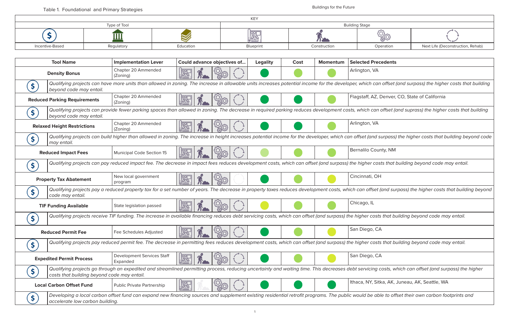

Operation **Incentive-Based Regulator Regulator** Next Life (Deconstruction, Rehab)

*Qualifying projects can have more units than allowed in zoning. The increase in allowable units increases potential income for the developer, which can offset (and surpass) the higher costs that building* 

Z, Denver, CO, State of California

*Qualifying projects can provide fewer parking spaces than allowed in zoning. The decrease in required parking reduces development costs, which can offset (and suprass) the higher costs that building* 

*Qualifying projects can build higher than allowed in zoning. The increase in height increases potential income for the developer, which can offset (and surpass) the higher costs that building beyond code* 

*Qualifying projects can pay reduced impact fee. The decrease in impact fees reduces development costs, which can offset (and surpass) the higher costs that building beyond code may entail.* 

| <b>Tool Name</b>                            | <b>Implementation Lever</b>                   | Could advance objectives of                                                                                                                                        | <b>Legality</b> | Cost | <b>Momentum</b> | <b>Selected Precedents</b>  |
|---------------------------------------------|-----------------------------------------------|--------------------------------------------------------------------------------------------------------------------------------------------------------------------|-----------------|------|-----------------|-----------------------------|
| <b>Density Bonus</b>                        | Chapter 20 Ammended<br>(Zoning)               | <br>  1                                                                                                                                                            |                 |      |                 | Arlington, VA               |
| Ş.<br>beyond code may entail.               |                                               | Qualifying projects can have more units than allowed in zoning. The increase in allowable units increases potential income for the developer, which can offset     |                 |      |                 |                             |
| <b>Reduced Parking Requirements</b>         | Chapter 20 Ammended<br>(Zoning)               | ⊯⊞                                                                                                                                                                 |                 |      |                 | Flagstaff, AZ, Denver,      |
| beyond code may entail.                     |                                               | Qualifying projects can provide fewer parking spaces than allowed in zoning. The decrease in required parking reduces development costs, which can offset (a       |                 |      |                 |                             |
| <b>Relaxed Height Restrictions</b>          | Chapter 20 Ammended<br>(Zoning)               | 臞                                                                                                                                                                  |                 |      |                 | Arlington, VA               |
| may entail.                                 |                                               | Qualifying projects can build higher than allowed in zoning. The increase in height increases potential income for the developer, which can offset (and surpass,   |                 |      |                 |                             |
| <b>Reduced Impact Fees</b>                  | Municipal Code Section 15                     |                                                                                                                                                                    |                 |      |                 | <b>Bernalilo County, NM</b> |
| \$.                                         |                                               | Qualifying projects can pay reduced impact fee. The decrease in impact fees reduces development costs, which can offset (and surpass) the higher costs that        |                 |      |                 |                             |
| <b>Property Tax Abatement</b>               | New local government<br>program               | "嗯                                                                                                                                                                 |                 |      |                 | Cincinnati, OH              |
| code may entail.                            |                                               | Qualifying projects pay a reduced property tax for a set number of years. The decrease in property taxes reduces development costs, which can offset (and su       |                 |      |                 |                             |
| <b>TIF Funding Available</b>                | State legislation passed                      |                                                                                                                                                                    |                 |      |                 | Chicago, IL                 |
| \$                                          |                                               | Qualifying projects receive TIF funding. The increase in available financing reduces debt servicing costs, which can offset (and surpass) the higher costs that be |                 |      |                 |                             |
| <b>Reduced Permit Fee</b>                   | Fee Schedules Adjusted                        |                                                                                                                                                                    |                 |      |                 | San Diego, CA               |
| \$                                          |                                               | Qualifying projects pay reduced permit fee. The decrease in permitting fees reduces development costs, which can offset (and surpass) the higher costs that b      |                 |      |                 |                             |
| <b>Expedited Permit Process</b>             | <b>Development Services Staff</b><br>Expanded | ⊯                                                                                                                                                                  |                 |      |                 | San Diego, CA               |
| costs that building beyond code may entail. |                                               | Qualifying projects go through an expedited and streamlined permitting process, reducing uncertainty and waiting time. This decreases debt servicing costs, w      |                 |      |                 |                             |
| <b>Local Carbon Offset Fund</b>             | Public Private Partnership                    | <b>RED</b>                                                                                                                                                         |                 |      |                 | Ithaca, NY, Sitka, AK,      |
| accelerate low carbon building.             |                                               | Developing a local carbon offset fund can expand new financing sources and supplement existing residential retrofit programs. The public would be able to ofi      |                 |      |                 |                             |

*Qualifying projects pay a reduced property tax for a set number of years. The decrease in property taxes reduces development costs, which can offset (and surpass) the higher costs that building beyond* 

*Qualifying projects receive TIF funding. The increase in available financing reduces debt servicing costs, which can offset (and surpass) the higher costs that building beyond code may entail.* 

*Qualifying projects pay reduced permit fee. The decrease in permitting fees reduces development costs, which can offset (and surpass) the higher costs that building beyond code may entail.* 

*Qualifying projects go through an expedited and streamlined permitting process, reducing uncertainty and waiting time. This decreases debt servicing costs, which can offset (and surpass) the higher* 

Sitka, AK, Juneau, AK, Seattle, WA

able to offset their own carbon footprints and

|                 |              |           | KEY       |              |                       |
|-----------------|--------------|-----------|-----------|--------------|-----------------------|
|                 | Type of Tool |           |           |              | <b>Building Stage</b> |
|                 |              |           | 圖         |              |                       |
| Incentive-Based | Regulatory   | Education | Blueprint | Construction |                       |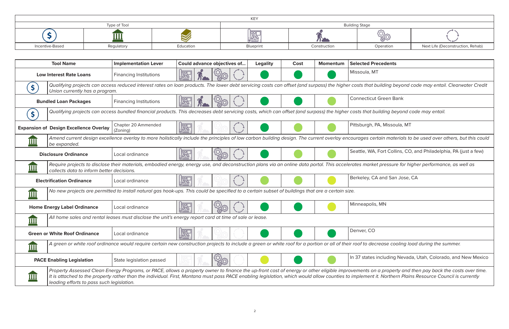

Operation **Incentive-Based Regulator Regulator** Next Life (Deconstruction, Rehab)

*Qualifying projects can access reduced interest rates on loan products. The lower debt servicing costs can offset (and surpass) the higher costs that building beyond code may entail. Clearwater Credit* 

*Qualifying projects can access bundled financial products. This decreases debt servicing costs, which can offset (and surpass) the higher costs that building beyond code may entail.* 

*Amend current design excellence overlay to more holistically include the principles of low carbon building design. The current overlay encourages certain materials to be used over others, but this could* 

**R. Fort Collins, CO, and Philadelphia, PA (just a few)** 

*Require projects to disclose their materials, embodied energy, energy use, and deconstruction plans via an online data portal. This accelerates market pressure for higher performance, as well as* 

|             | <b>Tool Name</b>                              | <b>Implementation Lever</b>     | Could advance objectives of                                                                                                                                                                                                                                                                                                                           | <b>Legality</b> | Cost | <b>Momentum</b> | <b>Selected Precedents</b>       |
|-------------|-----------------------------------------------|---------------------------------|-------------------------------------------------------------------------------------------------------------------------------------------------------------------------------------------------------------------------------------------------------------------------------------------------------------------------------------------------------|-----------------|------|-----------------|----------------------------------|
|             | <b>Low Interest Rate Loans</b>                | <b>Financing Institutions</b>   | 圈                                                                                                                                                                                                                                                                                                                                                     |                 |      |                 | Missoula, MT                     |
| Ş.          | Union currently has a program.                |                                 | Qualifying projects can access reduced interest rates on loan products. The lower debt servicing costs can offset (and surpass) the higher costs that building beyond cod                                                                                                                                                                             |                 |      |                 |                                  |
|             | <b>Bundled Loan Packages</b>                  | <b>Financing Institutions</b>   |                                                                                                                                                                                                                                                                                                                                                       |                 |      |                 | <b>Connecticut Green Bank</b>    |
|             |                                               |                                 | Qualifying projects can access bundled financial products. This decreases debt servicing costs, which can offset (and surpass) the higher costs that building beyond cod                                                                                                                                                                              |                 |      |                 |                                  |
|             | <b>Expansion of Design Excellence Overlay</b> | Chapter 20 Ammended<br>(Zoning) | <b>IBS</b>                                                                                                                                                                                                                                                                                                                                            |                 |      |                 | Pittsburgh, PA, Missoula, MT     |
|             | be expanded.                                  |                                 | Amend current design excellence overlay to more holistically include the principles of low carbon building design. The current overlay encourages certain materials to be                                                                                                                                                                             |                 |      |                 |                                  |
|             | <b>Disclosure Ordinance</b>                   | Local ordinance                 | PS                                                                                                                                                                                                                                                                                                                                                    |                 |      |                 | Seattle, WA, Fort Collins, CO, a |
|             | collects data to inform better decisions.     |                                 | Require projects to disclose their materials, embodied energy, energy use, and deconstruction plans via an online data portal. This accelerates market pressure for highe                                                                                                                                                                             |                 |      |                 |                                  |
|             | <b>Electrification Ordinance</b>              | Local ordinance                 | 圖                                                                                                                                                                                                                                                                                                                                                     |                 |      |                 | Berkeley, CA and San Jose, CA    |
| <u>IIII</u> |                                               |                                 | No new projects are permitted to install natural gas hook-ups. This could be specified to a certain subset of buildings that are a certain size.                                                                                                                                                                                                      |                 |      |                 |                                  |
|             | <b>Home Energy Label Ordinance</b>            | Local ordinance                 | 圖                                                                                                                                                                                                                                                                                                                                                     |                 |      |                 | Minneapolis, MN                  |
| <u>IIII</u> |                                               |                                 | All home sales and rental leases must disclose the unit's energy report card at time of sale or lease.                                                                                                                                                                                                                                                |                 |      |                 |                                  |
|             | <b>Green or White Roof Ordinance</b>          | Local ordinance                 |                                                                                                                                                                                                                                                                                                                                                       |                 |      |                 | Denver, CO                       |
| <u>Ш</u>    |                                               |                                 | $\vert$ A green or white roof ordinance would require certain new construction projects to include a green or white roof for a portion or all of their roof to decrease cooling load                                                                                                                                                                  |                 |      |                 |                                  |
|             | <b>PACE Enabling Legislation</b>              | State legislation passed        |                                                                                                                                                                                                                                                                                                                                                       |                 |      |                 | In 37 states including Nevada, I |
| Ш           | leading efforts to pass such legislation.     |                                 | Property Assessed Clean Energy Programs, or PACE, allows a property owner to finance the up-front cost of energy or other eligible improvements on a property and the<br>It is attached to the property rather than the individual. First, Montana must pass PACE enabling legislation, which would allow counties to implement it. Northern Plains F |                 |      |                 |                                  |

*A green or white roof ordinance would require certain new construction projects to include a green or white roof for a portion or all of their roof to decrease cooling load during the summer.* 

**PACE Enabling Legislation** State legislation passed In 37 states including Nevada, Utah, Colorado, and New Mexico

*Property Assessed Clean Energy Programs, or PACE, allows a property owner to finance the up-front cost of energy or other eligible improvements on a property and then pay back the costs over time. It is attached to the property rather than the individual. First, Montana must pass PACE enabling legislation, which would allow counties to implement it. Northern Plains Resource Council is currently* 

|                 |              |           | <b>KEY</b> |              |                       |
|-----------------|--------------|-----------|------------|--------------|-----------------------|
|                 | Type of Tool |           |            |              | <b>Building Stage</b> |
|                 |              |           | 圖          |              |                       |
| Incentive-Based | Regulatory   | Education | Blueprint  | Construction |                       |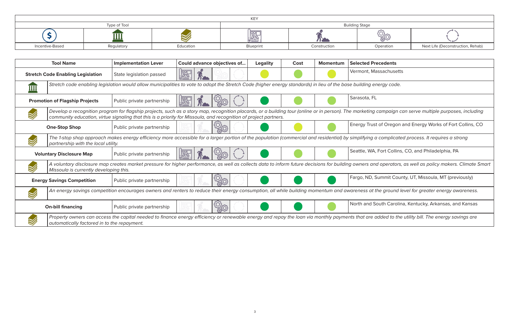

Operation **Incentive-Based Regulator Regulator** Next Life (Deconstruction, Rehab)

*Develop a recognition program for flagship projects, such as a story map, recognition placards, or a building tour (online or in person). The marketing campaign can serve multiple purposes, including* 

**Drapher Shopp** Shopart Shopart and Energy Works of Fort Collins, CO

*The 1-stop shop approach makes energy efficiency more accessible for a larger portion of the population (commercial and residential) by simplifying a complicated process. It requires a strong* 

**V. Fort Collins, CO, and Philadelphia, PA** 

| <b>Implementation Lever</b> | Could advance objectives of                                                   | <b>Legality</b> | Cost | Momentum                                                                                                         | <b>Selected Precedents</b>                                                                                                                                                                                                                                                                                                                                                                                                                                                                                                                                                                                                                                                                                                                                                                                                                       |
|-----------------------------|-------------------------------------------------------------------------------|-----------------|------|------------------------------------------------------------------------------------------------------------------|--------------------------------------------------------------------------------------------------------------------------------------------------------------------------------------------------------------------------------------------------------------------------------------------------------------------------------------------------------------------------------------------------------------------------------------------------------------------------------------------------------------------------------------------------------------------------------------------------------------------------------------------------------------------------------------------------------------------------------------------------------------------------------------------------------------------------------------------------|
| State legislation passed    |                                                                               |                 |      |                                                                                                                  | Vermont, Massachusetts                                                                                                                                                                                                                                                                                                                                                                                                                                                                                                                                                                                                                                                                                                                                                                                                                           |
|                             |                                                                               |                 |      |                                                                                                                  |                                                                                                                                                                                                                                                                                                                                                                                                                                                                                                                                                                                                                                                                                                                                                                                                                                                  |
| Public private partnership  |                                                                               |                 |      |                                                                                                                  | Sarasota, FL                                                                                                                                                                                                                                                                                                                                                                                                                                                                                                                                                                                                                                                                                                                                                                                                                                     |
|                             |                                                                               |                 |      |                                                                                                                  |                                                                                                                                                                                                                                                                                                                                                                                                                                                                                                                                                                                                                                                                                                                                                                                                                                                  |
| Public private partnership  |                                                                               |                 |      |                                                                                                                  | Energy Trust of Oregon a                                                                                                                                                                                                                                                                                                                                                                                                                                                                                                                                                                                                                                                                                                                                                                                                                         |
|                             |                                                                               |                 |      |                                                                                                                  |                                                                                                                                                                                                                                                                                                                                                                                                                                                                                                                                                                                                                                                                                                                                                                                                                                                  |
| Public private partnership  |                                                                               |                 |      |                                                                                                                  | Seattle, WA, Fort Collins,                                                                                                                                                                                                                                                                                                                                                                                                                                                                                                                                                                                                                                                                                                                                                                                                                       |
|                             |                                                                               |                 |      |                                                                                                                  |                                                                                                                                                                                                                                                                                                                                                                                                                                                                                                                                                                                                                                                                                                                                                                                                                                                  |
| Public private partnership  |                                                                               |                 |      |                                                                                                                  | Fargo, ND, Summit Cour                                                                                                                                                                                                                                                                                                                                                                                                                                                                                                                                                                                                                                                                                                                                                                                                                           |
|                             |                                                                               |                 |      |                                                                                                                  |                                                                                                                                                                                                                                                                                                                                                                                                                                                                                                                                                                                                                                                                                                                                                                                                                                                  |
| Public private partnership  |                                                                               |                 |      |                                                                                                                  | North and South Carolin                                                                                                                                                                                                                                                                                                                                                                                                                                                                                                                                                                                                                                                                                                                                                                                                                          |
|                             | partnership with the local utility.<br>Missoula is currently developing this. |                 |      | community education, virtue signaling that this is a priority for Missoula, and recognition of project partners. | Stretch code enabling legislation would allow municipalities to vote to adopt the Stretch Code (higher energy standards) in lieu of the base building energy code.<br>Develop a recognition program for flagship projects, such as a story map, recognition placards, or a building tour (online or in person). The marketing campaign co<br>The 1-stop shop approach makes energy efficiency more accessible for a larger portion of the population (commercial and residential) by simplifying a complicate<br>A voluntary disclosure map creates market pressure for higher performance, as well as collects data to inform future decisions for building owners and operators,<br>An energy savings competition encourages owners and renters to reduce their energy consumption, all while building momentum and awareness at the ground le |

*A voluntary disclosure map creates market pressure for higher performance, as well as collects data to inform future decisions for building owners and operators, as well as policy makers. Climate Smart* 

Summit County, UT, Missoula, MT (previously)

*An energy savings competition encourages owners and renters to reduce their energy consumption, all while building momentum and awareness at the ground level for greater energy awareness.*

South Carolina, Kentucky, Arkansas, and Kansas

*Property owners can access the capital needed to finance energy efficiency or renewable energy and repay the loan via monthly payments that are added to the utility bill. The energy savings are*

|                 |              |           | KEY       |              |                       |
|-----------------|--------------|-----------|-----------|--------------|-----------------------|
|                 | Type of Tool |           |           |              | <b>Building Stage</b> |
|                 | .            |           | 圖         |              |                       |
| Incentive-Based | Regulatory   | Education | Blueprint | Construction |                       |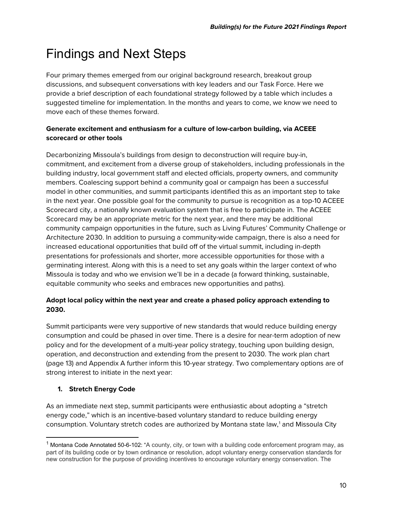# Findings and Next Steps

Four primary themes emerged from our original background research, breakout group discussions, and subsequent conversations with key leaders and our Task Force. Here we provide a brief description of each foundational strategy followed by a table which includes a suggested timeline for implementation. In the months and years to come, we know we need to move each of these themes forward.

### **Generate excitement and enthusiasm for a culture of low-carbon building, via ACEEE scorecard or other tools**

Decarbonizing Missoula's buildings from design to deconstruction will require buy-in, commitment, and excitement from a diverse group of stakeholders, including professionals in the building industry, local government staff and elected officials, property owners, and community members. Coalescing support behind a community goal or campaign has been a successful model in other communities, and summit participants identified this as an important step to take in the next year. One possible goal for the community to pursue is recognition as a top-10 ACEEE Scorecard city, a nationally known evaluation system that is free to participate in. The ACEEE Scorecard may be an appropriate metric for the next year, and there may be additional community campaign opportunities in the future, such as Living Futures' Community Challenge or Architecture 2030. In addition to pursuing a community-wide campaign, there is also a need for increased educational opportunities that build off of the virtual summit, including in-depth presentations for professionals and shorter, more accessible opportunities for those with a germinating interest. Along with this is a need to set any goals within the larger context of who Missoula is today and who we envision we'll be in a decade (a forward thinking, sustainable, equitable community who seeks and embraces new opportunities and paths).

### **Adopt local policy within the next year and create a phased policy approach extending to 2030.**

Summit participants were very supportive of new standards that would reduce building energy consumption and could be phased in over time. There is a desire for near-term adoption of new policy and for the development of a multi-year policy strategy, touching upon building design, operation, and deconstruction and extending from the present to 2030. The work plan chart (page 13) and Appendix A further inform this 10-year strategy. Two complementary options are of strong interest to initiate in the next year:

### **1. Stretch Energy Code**

As an immediate next step, summit participants were enthusiastic about adopting a "stretch energy code," which is an incentive-based voluntary standard to reduce building energy consumption. Voluntary stretch codes are authorized by Montana state law,<sup>[1](#page-9-0)</sup> and Missoula City

<span id="page-9-0"></span><sup>&</sup>lt;sup>1</sup> Montana Code Annotated 50-6-102: "A county, city, or town with a building code enforcement program may, as part of its building code or by town ordinance or resolution, adopt voluntary energy conservation standards for new construction for the purpose of providing incentives to encourage voluntary energy conservation. The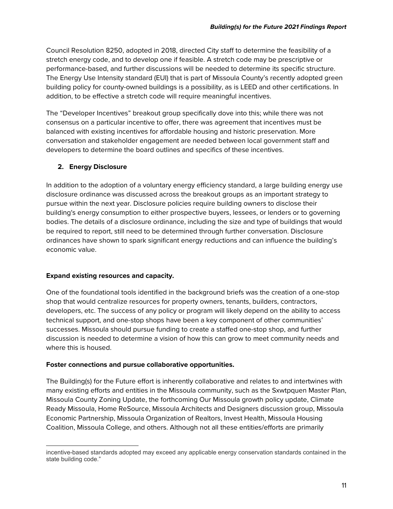Council Resolution 8250, adopted in 2018, directed City staff to determine the feasibility of a stretch energy code, and to develop one if feasible. A stretch code may be prescriptive or performance-based, and further discussions will be needed to determine its specific structure. The Energy Use Intensity standard (EUI) that is part of Missoula County's recently adopted green building policy for county-owned buildings is a possibility, as is LEED and other certifications. In addition, to be effective a stretch code will require meaningful incentives.

The "Developer Incentives" breakout group specifically dove into this; while there was not consensus on a particular incentive to offer, there was agreement that incentives must be balanced with existing incentives for affordable housing and historic preservation. More conversation and stakeholder engagement are needed between local government staff and developers to determine the board outlines and specifics of these incentives.

### **2. Energy Disclosure**

In addition to the adoption of a voluntary energy efficiency standard, a large building energy use disclosure ordinance was discussed across the breakout groups as an important strategy to pursue within the next year. Disclosure policies require building owners to disclose their building's energy consumption to either prospective buyers, lessees, or lenders or to governing bodies. The details of a disclosure ordinance, including the size and type of buildings that would be required to report, still need to be determined through further conversation. Disclosure ordinances have shown to spark significant energy reductions and can influence the building's economic value.

### **Expand existing resources and capacity.**

One of the foundational tools identified in the background briefs was the creation of a one-stop shop that would centralize resources for property owners, tenants, builders, contractors, developers, etc. The success of any policy or program will likely depend on the ability to access technical support, and one-stop shops have been a key component of other communities' successes. Missoula should pursue funding to create a staffed one-stop shop, and further discussion is needed to determine a vision of how this can grow to meet community needs and where this is housed.

### **Foster connections and pursue collaborative opportunities.**

The Building(s) for the Future effort is inherently collaborative and relates to and intertwines with many existing efforts and entities in the Missoula community, such as the Sxwtpquen Master Plan, Missoula County Zoning Update, the forthcoming Our Missoula growth policy update, Climate Ready Missoula, Home ReSource, Missoula Architects and Designers discussion group, Missoula Economic Partnership, Missoula Organization of Realtors, Invest Health, Missoula Housing Coalition, Missoula College, and others. Although not all these entities/efforts are primarily

incentive-based standards adopted may exceed any applicable energy conservation standards contained in the state building code."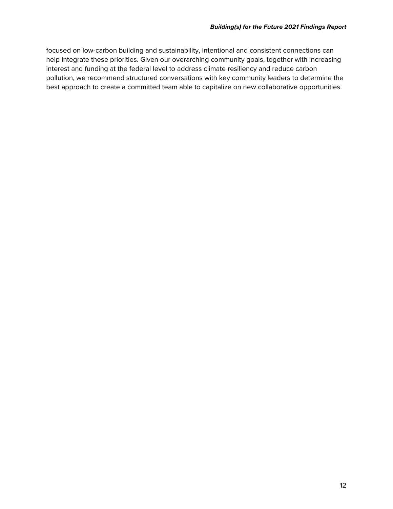focused on low-carbon building and sustainability, intentional and consistent connections can help integrate these priorities. Given our overarching community goals, together with increasing interest and funding at the federal level to address climate resiliency and reduce carbon pollution, we recommend structured conversations with key community leaders to determine the best approach to create a committed team able to capitalize on new collaborative opportunities.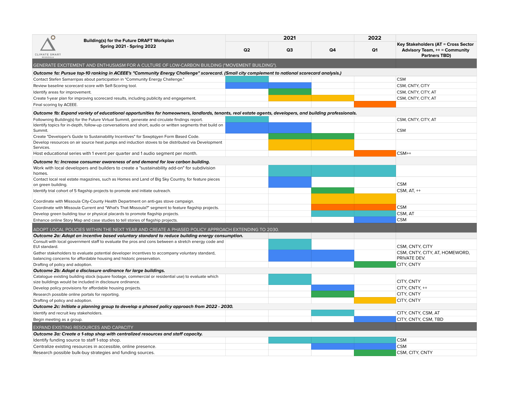| o<br><b>Building(s) for the Future DRAFT Workplan</b>                                                                                                   | 2021           |    |                | 2022           |                                                                             |  |
|---------------------------------------------------------------------------------------------------------------------------------------------------------|----------------|----|----------------|----------------|-----------------------------------------------------------------------------|--|
| <b>Spring 2021 - Spring 2022</b>                                                                                                                        | Q <sub>2</sub> | Q3 | Q <sub>4</sub> | Q <sub>1</sub> | Key Stakeholders (AT = Cross Sector<br><b>Advisory Team, ++ = Community</b> |  |
| CLIMATE SMART                                                                                                                                           |                |    |                |                | <b>Partners TBD)</b>                                                        |  |
| GENERATE EXCITEMENT AND ENTHUSIASM FOR A CULTURE OF LOW-CARBON BUILDING ("MOVEMENT BUILDING")                                                           |                |    |                |                |                                                                             |  |
| Outcome 1a: Pursue top-10 ranking in ACEEE's "Community Energy Challenge" scorecard. (Small city complement to national scorecard analysis.)            |                |    |                |                |                                                                             |  |
| Contact Stefen Samarripas about participation in "Community Energy Challenge."                                                                          |                |    |                |                | <b>CSM</b>                                                                  |  |
| Review baseline scorecard score with Self-Scoring tool.                                                                                                 |                |    |                |                | CSM, CNTY, CITY                                                             |  |
| Identify areas for improvement.                                                                                                                         |                |    |                |                | CSM, CNTY, CITY, AT                                                         |  |
| Create 1-year plan for improving scorecard results, including publicity and engagement.                                                                 |                |    |                |                | CSM, CNTY, CITY, AT                                                         |  |
| Final scoring by ACEEE.                                                                                                                                 |                |    |                |                |                                                                             |  |
| Outcome 1b: Expand variety of educational opportunities for homeowners, landlords, tenants, real estate agents, developers, and building professionals. |                |    |                |                |                                                                             |  |
| Followning Building(s) for the Future Virtual Summit, generate and circulate findings report.                                                           |                |    |                |                | CSM, CNTY, CITY, AT                                                         |  |
| Identify topics for in-depth, follow-up conversations and short, audio or written segments that build on                                                |                |    |                |                |                                                                             |  |
| Summit.                                                                                                                                                 |                |    |                |                | <b>CSM</b>                                                                  |  |
| Create "Developer's Guide to Sustainability Incentives" for Sxwptqyen Form Based Code.                                                                  |                |    |                |                |                                                                             |  |
| Develop resources on air source heat pumps and induction stoves to be distributed via Development                                                       |                |    |                |                |                                                                             |  |
| Services.                                                                                                                                               |                |    |                |                |                                                                             |  |
| Host educational series with 1 event per quarter and 1 audio segment per month.                                                                         |                |    |                |                | $CSM++$                                                                     |  |
| Outcome 1c: Increase consumer awareness of and demand for low carbon building.                                                                          |                |    |                |                |                                                                             |  |
| Work with local developers and builders to create a "sustainability add-on" for subdivision                                                             |                |    |                |                |                                                                             |  |
| homes.                                                                                                                                                  |                |    |                |                |                                                                             |  |
| Contact local real estate magazines, such as Homes and Land of Big Sky Country, for feature pieces                                                      |                |    |                |                | <b>CSM</b>                                                                  |  |
| on green building.                                                                                                                                      |                |    |                |                | CSM, AT, ++                                                                 |  |
| Identify trial cohort of 5 flagship projects to promote and initiate outreach.                                                                          |                |    |                |                |                                                                             |  |
| Coordinate with Missoula City-County Health Department on anti-gas stove campaign.                                                                      |                |    |                |                |                                                                             |  |
| Coordinate with Missoula Current and "What's That Missoula?" segment to feature flagship projects.                                                      |                |    |                |                | <b>CSM</b>                                                                  |  |
| Develop green building tour or physical placards to promote flagship projects.                                                                          |                |    |                |                | CSM, AT                                                                     |  |
| Enhance online Story Map and case studies to tell stories of flagship projects.                                                                         |                |    |                |                | <b>CSM</b>                                                                  |  |
| ADOPT LOCAL POLICIES WITHIN THE NEXT YEAR AND CREATE A PHASED POLICY APPROACH EXTENDING TO 2030.                                                        |                |    |                |                |                                                                             |  |
| Outcome 2a: Adopt an incentive based voluntary standard to reduce building energy consumption.                                                          |                |    |                |                |                                                                             |  |
| Consult with local government staff to evaluate the pros and cons between a stretch energy code and                                                     |                |    |                |                |                                                                             |  |
| EUI standard.                                                                                                                                           |                |    |                |                | CSM, CNTY, CITY                                                             |  |
| Gather stakeholders to evaluate potential developer incentives to accompany voluntary standard,                                                         |                |    |                |                | CSM, CNTY, CITY, AT, HOMEWORD,                                              |  |
| balancing concerns for affordable housing and historic preservation.                                                                                    |                |    |                |                | PRIVATE DEV.                                                                |  |
| Drafting of policy and adoption.                                                                                                                        |                |    |                |                | <b>CITY, CNTY</b>                                                           |  |
| Outcome 2b: Adopt a disclosure ordinance for large buildings.                                                                                           |                |    |                |                |                                                                             |  |
| Catalogue existing building stock (square footage, commercial or residential use) to evaluate which                                                     |                |    |                |                |                                                                             |  |
| size buildings would be included in disclosure ordinance.                                                                                               |                |    |                |                | CITY, CNTY<br>CITY, CNTY, ++                                                |  |
| Develop policy provisions for affordable housing projects.                                                                                              |                |    |                |                | CITY, CNTY                                                                  |  |
| Research possible online portals for reporting.                                                                                                         |                |    |                |                | <b>CITY, CNTY</b>                                                           |  |
| Drafting of policy and adoption.<br>Outcome 2c: Initiate a planning group to develop a phased policy approach from 2022 - 2030.                         |                |    |                |                |                                                                             |  |
| Identify and recruit key stakeholders.                                                                                                                  |                |    |                |                | CITY, CNTY, CSM, AT                                                         |  |
| Begin meeting as a group.                                                                                                                               |                |    |                |                | CITY, CNTY, CSM, TBD                                                        |  |
|                                                                                                                                                         |                |    |                |                |                                                                             |  |
| EXPAND EXISTING RESOURCES AND CAPACITY                                                                                                                  |                |    |                |                |                                                                             |  |
| Outcome 3a: Create a 1-stop shop with centralized resources and staff capacity.                                                                         |                |    |                |                |                                                                             |  |
| Identify funding source to staff 1-stop shop.                                                                                                           |                |    |                |                | <b>CSM</b>                                                                  |  |
| Centralize existing resources in accessible, online presence.                                                                                           |                |    |                |                | <b>CSM</b>                                                                  |  |
| Research possible bulk-buy strategies and funding sources.                                                                                              |                |    |                |                | CSM, CITY, CNTY                                                             |  |